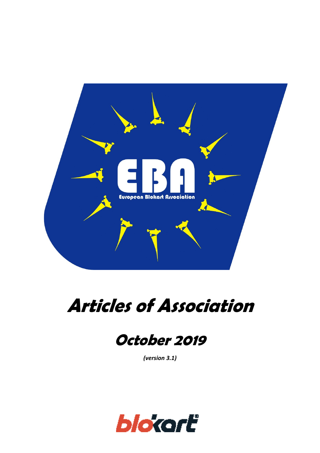

# **Articles of Association**

# **October 2019**

*(version 3.1)*

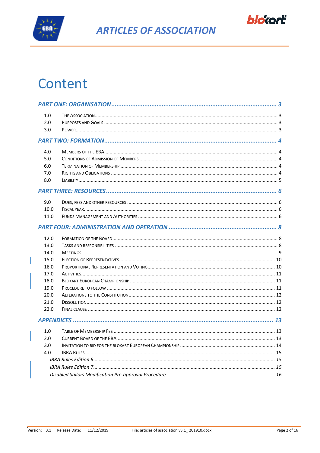



# Content

| 1.0  |  |  |  |
|------|--|--|--|
| 2.0  |  |  |  |
| 3.0  |  |  |  |
|      |  |  |  |
| 4.0  |  |  |  |
| 5.0  |  |  |  |
| 6.0  |  |  |  |
| 7.0  |  |  |  |
| 8.0  |  |  |  |
|      |  |  |  |
| 9.0  |  |  |  |
| 10.0 |  |  |  |
| 11.0 |  |  |  |
|      |  |  |  |
| 12.0 |  |  |  |
| 13.0 |  |  |  |
| 14.0 |  |  |  |
| 15.0 |  |  |  |
| 16.0 |  |  |  |
| 17.0 |  |  |  |
| 18.0 |  |  |  |
| 19.0 |  |  |  |
| 20.0 |  |  |  |
| 21.0 |  |  |  |
| 22.0 |  |  |  |
|      |  |  |  |
| 1.0  |  |  |  |
| 2.0  |  |  |  |
| 3.0  |  |  |  |
| 4.0  |  |  |  |
|      |  |  |  |
|      |  |  |  |
|      |  |  |  |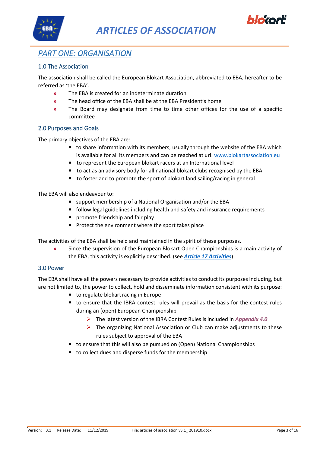



# <span id="page-2-0"></span>*PART ONE: ORGANISATION*

#### <span id="page-2-1"></span>1.0 The Association

The association shall be called the European Blokart Association, abbreviated to EBA, hereafter to be referred as 'the EBA'.

- **»** The EBA is created for an indeterminate duration
- **»** The head office of the EBA shall be at the EBA President's home
- **»** The Board may designate from time to time other offices for the use of a specific committee

#### <span id="page-2-2"></span>2.0 Purposes and Goals

The primary objectives of the EBA are:

- to share information with its members, usually through the website of the EBA which is available for all its members and can be reached at url: [www.blokartassociation.eu](http://www.blokartassociation.eu/)
- to represent the European blokart racers at an International level
- to act as an advisory body for all national blokart clubs recognised by the EBA
- to foster and to promote the sport of blokart land sailing/racing in general

The EBA will also endeavour to:

- support membership of a National Organisation and/or the EBA
- follow legal guidelines including health and safety and insurance requirements
- **•** promote friendship and fair play
- Protect the environment where the sport takes place

The activities of the EBA shall be held and maintained in the spirit of these purposes.

**»** Since the supervision of the European Blokart Open Championships is a main activity of the EBA, this activity is explicitly described. (see *[Article 17](#page-10-0) Activities*)

#### <span id="page-2-3"></span>3.0 Power

The EBA shall have all the powers necessary to provide activities to conduct its purposes including, but are not limited to, the power to collect, hold and disseminate information consistent with its purpose:

- to regulate blokart racing in Europe
- to ensure that the IBRA contest rules will prevail as the basis for the contest rules during an (open) European Championship
	- ➢ The latest version of the IBRA Contest Rules is included in *[Appendix 4.0](#page-14-0)*
	- $\triangleright$  The organizing National Association or Club can make adjustments to these rules subject to approval of the EBA
- to ensure that this will also be pursued on (Open) National Championships
- to collect dues and disperse funds for the membership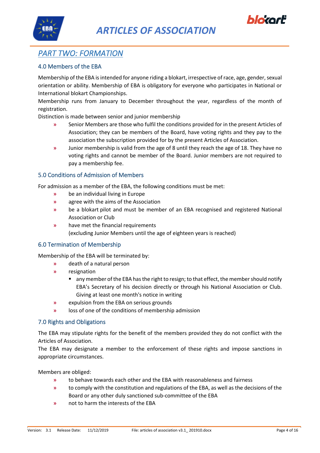





### <span id="page-3-0"></span>*PART TWO: FORMATION*

#### <span id="page-3-1"></span>4.0 Members of the EBA

Membership of the EBA isintended for anyone riding a blokart, irrespective of race, age, gender, sexual orientation or ability. Membership of EBA is obligatory for everyone who participates in National or International blokart Championships.

Membership runs from January to December throughout the year, regardless of the month of registration.

Distinction is made between senior and junior membership

- **»** Senior Members are those who fulfil the conditions provided for in the present Articles of Association; they can be members of the Board, have voting rights and they pay to the association the subscription provided for by the present Articles of Association.
- **»** Junior membership is valid from the age of 8 until they reach the age of 18. They have no voting rights and cannot be member of the Board. Junior members are not required to pay a membership fee.

#### <span id="page-3-2"></span>5.0 Conditions of Admission of Members

For admission as a member of the EBA, the following conditions must be met:

- **»** be an individual living in Europe
- **»** agree with the aims of the Association
- **»** be a blokart pilot and must be member of an EBA recognised and registered National Association or Club
- **»** have met the financial requirements (excluding Junior Members until the age of eighteen years is reached)

#### <span id="page-3-3"></span>6.0 Termination of Membership

Membership of the EBA will be terminated by:

- **»** death of a natural person
- **»** resignation
	- any member of the EBA has the right to resign; to that effect, the member should notify EBA's Secretary of his decision directly or through his National Association or Club. Giving at least one month's notice in writing
- **»** expulsion from the EBA on serious grounds
- **»** loss of one of the conditions of membership admission

#### <span id="page-3-4"></span>7.0 Rights and Obligations

The EBA may stipulate rights for the benefit of the members provided they do not conflict with the Articles of Association.

The EBA may designate a member to the enforcement of these rights and impose sanctions in appropriate circumstances.

Members are obliged:

- **»** to behave towards each other and the EBA with reasonableness and fairness
- **»** to comply with the constitution and regulations of the EBA, as well as the decisions of the Board or any other duly sanctioned sub-committee of the EBA
- **»** not to harm the interests of the EBA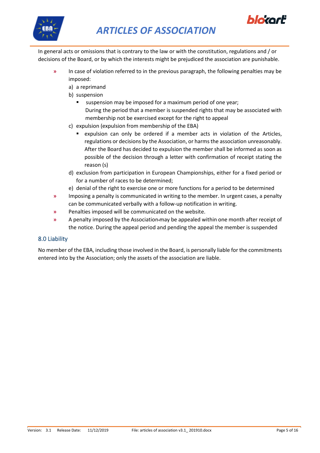



In general acts or omissions that is contrary to the law or with the constitution, regulations and / or decisions of the Board, or by which the interests might be prejudiced the association are punishable.

- **»** In case of violation referred to in the previous paragraph, the following penalties may be imposed:
	- a) a reprimand
	- b) suspension
		- suspension may be imposed for a maximum period of one year; During the period that a member is suspended rights that may be associated with membership not be exercised except for the right to appeal
	- c) expulsion (expulsion from membership of the EBA)
		- expulsion can only be ordered if a member acts in violation of the Articles, regulations or decisions by the Association, or harms the association unreasonably. After the Board has decided to expulsion the member shall be informed as soon as possible of the decision through a letter with confirmation of receipt stating the reason (s)
	- d) exclusion from participation in European Championships, either for a fixed period or for a number of races to be determined;
	- e) denial of the right to exercise one or more functions for a period to be determined
- **»** Imposing a penalty is communicated in writing to the member. In urgent cases, a penalty can be communicated verbally with a follow-up notification in writing.
- **»** Penalties imposed will be communicated on the website.
- **»** A penalty imposed by the Association may be appealed within one month after receipt of the notice. During the appeal period and pending the appeal the member is suspended

#### <span id="page-4-0"></span>8.0 Liability

No member of the EBA, including those involved in the Board, is personally liable for the commitments entered into by the Association; only the assets of the association are liable.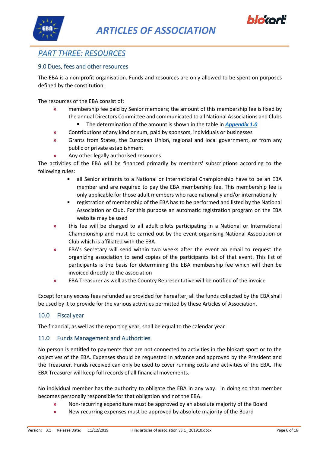





## <span id="page-5-0"></span>*PART THREE: RESOURCES*

#### <span id="page-5-1"></span>9.0 Dues, fees and other resources

The EBA is a non-profit organisation. Funds and resources are only allowed to be spent on purposes defined by the constitution.

The resources of the EBA consist of:

- **»** membership fee paid by Senior members; the amount of this membership fee is fixed by the annual Directors Committee and communicated to all National Associations and Clubs
	- The determination of the amount is shown in the table in *[Appendix 1.0](#page-12-1)*
- **»** Contributions of any kind or sum, paid by sponsors, individuals or businesses
- **»** Grants from States, the European Union, regional and local government, or from any public or private establishment
- **»** Any other legally authorised resources

The activities of the EBA will be financed primarily by members' subscriptions according to the following rules:

- all Senior entrants to a National or International Championship have to be an EBA member and are required to pay the EBA membership fee. This membership fee is only applicable for those adult members who race nationally and/or internationally
- registration of membership of the EBA has to be performed and listed by the National Association or Club. For this purpose an automatic registration program on the EBA website may be used
- **»** this fee will be charged to all adult pilots participating in a National or International Championship and must be carried out by the event organising National Association or Club which is affiliated with the EBA
- **»** EBA's Secretary will send within two weeks after the event an email to request the organizing association to send copies of the participants list of that event. This list of participants is the basis for determining the EBA membership fee which will then be invoiced directly to the association
- **»** EBA Treasurer as well as the Country Representative will be notified of the invoice

Except for any excess fees refunded as provided for hereafter, all the funds collected by the EBA shall be used by it to provide for the various activities permitted by these Articles of Association.

#### <span id="page-5-2"></span>10.0 Fiscal year

The financial, as well as the reporting year, shall be equal to the calendar year.

#### <span id="page-5-3"></span>11.0 Funds Management and Authorities

No person is entitled to payments that are not connected to activities in the blokart sport or to the objectives of the EBA. Expenses should be requested in advance and approved by the President and the Treasurer. Funds received can only be used to cover running costs and activities of the EBA. The EBA Treasurer will keep full records of all financial movements.

No individual member has the authority to obligate the EBA in any way. In doing so that member becomes personally responsible for that obligation and not the EBA.

- **»** Non-recurring expenditure must be approved by an absolute majority of the Board
- **»** New recurring expenses must be approved by absolute majority of the Board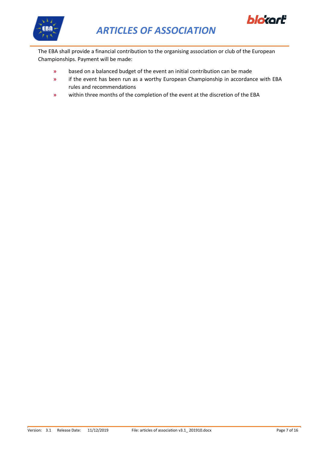



The EBA shall provide a financial contribution to the organising association or club of the European Championships. Payment will be made:

- **»** based on a balanced budget of the event an initial contribution can be made
- **»** if the event has been run as a worthy European Championship in accordance with EBA rules and recommendations
- **»** within three months of the completion of the event at the discretion of the EBA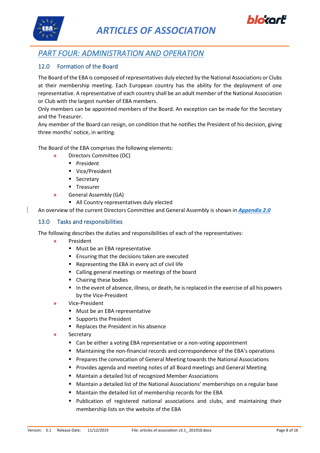



### <span id="page-7-0"></span>*PART FOUR: ADMINISTRATION AND OPERATION*

#### <span id="page-7-1"></span>12.0 Formation of the Board

The Board of the EBA is composed of representatives duly elected by the National Associations or Clubs at their membership meeting. Each European country has the ability for the deployment of one representative. A representative of each country shall be an adult member of the National Association or Club with the largest number of EBA members.

Only members can be appointed members of the Board. An exception can be made for the Secretary and the Treasurer.

Any member of the Board can resign, on condition that he notifies the President of his decision, giving three months' notice, in writing.

The Board of the EBA comprises the following elements:

- **»** Directors Committee (DC)
	- President
	- Vice/President
	- **■** Secretary
	- Treasurer
- **»** General Assembly (GA)
	- All Country representatives duly elected

An overview of the current Directors Committee and General Assembly is shown in *[Appendix 2.0](#page-12-2)*

#### <span id="page-7-2"></span>13.0 Tasks and responsibilities

The following describes the duties and responsibilities of each of the representatives:

- **»** President
	- Must be an EBA representative
	- Ensuring that the decisions taken are executed
	- Representing the EBA in every act of civil life
	- Calling general meetings or meetings of the board
	- Chairing these bodies
	- In the event of absence, illness, or death, he is replaced in the exercise of all his powers by the Vice-President
- **»** Vice-President
	- Must be an EBA representative
	- Supports the President
	- Replaces the President in his absence
- **»** Secretary
	- Can be either a voting EBA representative or a non-voting appointment
	- Maintaining the non-financial records and correspondence of the EBA's operations
	- Prepares the convocation of General Meeting towards the National Associations
	- Provides agenda and meeting notes of all Board meetings and General Meeting
	- Maintain a detailed list of recognized Member Associations
	- Maintain a detailed list of the National Associations' memberships on a regular base
	- Maintain the detailed list of membership records for the EBA
	- Publication of registered national associations and clubs, and maintaining their membership lists on the website of the EBA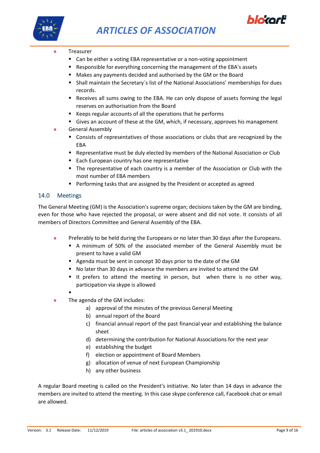



- **»** Treasurer
	- Can be either a voting EBA representative or a non-voting appointment
	- Responsible for everything concerning the management of the EBA's assets
	- Makes any payments decided and authorised by the GM or the Board
	- **EXTENDI** Maintain the Secretary's list of the National Associations' memberships for dues records.
	- Receives all sums owing to the EBA. He can only dispose of assets forming the legal reserves on authorisation from the Board
	- Keeps regular accounts of all the operations that he performs
	- **EX** Gives an account of these at the GM, which, if necessary, approves his management
- **»** General Assembly
	- Consists of representatives of those associations or clubs that are recognized by the EBA
	- Representative must be duly elected by members of the National Association or Club
	- Each European country has one representative
	- The representative of each country is a member of the Association or Club with the most number of EBA members
	- Performing tasks that are assigned by the President or accepted as agreed

#### <span id="page-8-0"></span>14.0 Meetings

The General Meeting (GM) is the Association's supreme organ; decisions taken by the GM are binding, even for those who have rejected the proposal, or were absent and did not vote. It consists of all members of Directors Committee and General Assembly of the EBA.

- **»** Preferably to be held during the Europeans or no later than 30 days after the Europeans.
	- A minimum of 50% of the associated member of the General Assembly must be present to have a valid GM
	- Agenda must be sent in concept 30 days prior to the date of the GM
	- No later than 30 days in advance the members are invited to attend the GM
	- It prefers to attend the meeting in person, but when there is no other way, participation via skype is allowed
	- ▪
- **»** The agenda of the GM includes:
	- a) approval of the minutes of the previous General Meeting
	- b) annual report of the Board
	- c) financial annual report of the past financial year and establishing the balance sheet
	- d) determining the contribution for National Associations for the next year
	- e) establishing the budget
	- f) election or appointment of Board Members
	- g) allocation of venue of next European Championship
	- h) any other business

A regular Board meeting is called on the President's initiative. No later than 14 days in advance the members are invited to attend the meeting. In this case skype conference call, Facebook chat or email are allowed.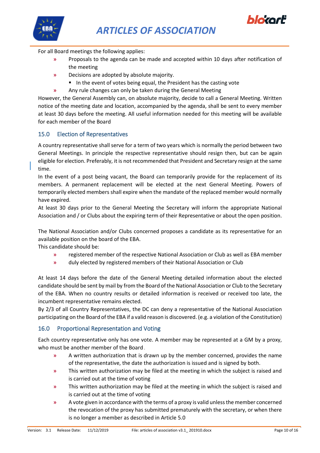



For all Board meetings the following applies:

- **»** Proposals to the agenda can be made and accepted within 10 days after notification of the meeting
- **»** Decisions are adopted by absolute majority.
	- In the event of votes being equal, the President has the casting vote
- **»** Any rule changes can only be taken during the General Meeting

However, the General Assembly can, on absolute majority, decide to call a General Meeting. Written notice of the meeting date and location, accompanied by the agenda, shall be sent to every member at least 30 days before the meeting. All useful information needed for this meeting will be available for each member of the Board

#### <span id="page-9-0"></span>15.0 Election of Representatives

A country representative shall serve for a term of two years which is normally the period between two General Meetings. In principle the respective representative should resign then, but can be again eligible for election. Preferably, it is not recommended that President and Secretary resign at the same time.

In the event of a post being vacant, the Board can temporarily provide for the replacement of its members. A permanent replacement will be elected at the next General Meeting. Powers of temporarily elected members shall expire when the mandate of the replaced member would normally have expired.

At least 30 days prior to the General Meeting the Secretary will inform the appropriate National Association and / or Clubs about the expiring term of their Representative or about the open position.

The National Association and/or Clubs concerned proposes a candidate as its representative for an available position on the board of the EBA.

This candidate should be:

- **»** registered member of the respective National Association or Club as well as EBA member
- **»** duly elected by registered members of their National Association or Club

At least 14 days before the date of the General Meeting detailed information about the elected candidate should be sent by mail by from the Board of the National Association or Club to the Secretary of the EBA. When no country results or detailed information is received or received too late, the incumbent representative remains elected.

By 2/3 of all Country Representatives, the DC can deny a representative of the National Association participating on the Board of the EBA if a valid reason is discovered. (e.g. a violation of the Constitution)

#### <span id="page-9-1"></span>16.0 Proportional Representation and Voting

Each country representative only has one vote. A member may be represented at a GM by a proxy, who must be another member of the Board .

- **»** A written authorization that is drawn up by the member concerned, provides the name of the representative, the date the authorization is issued and is signed by both.
- **»** This written authorization may be filed at the meeting in which the subject is raised and is carried out at the time of voting
- **»** This written authorization may be filed at the meeting in which the subject is raised and is carried out at the time of voting
- **»** A vote given in accordance with the terms of a proxy is valid unless the member concerned the revocation of the proxy has submitted prematurely with the secretary, or when there is no longer a member as described in Article 5.0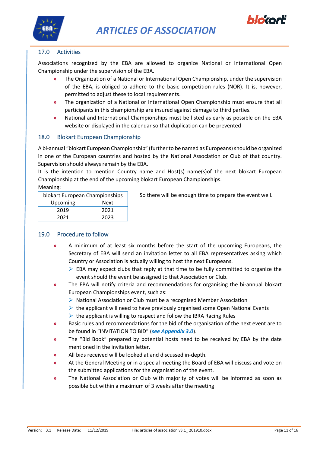



#### 17.0 Activities

<span id="page-10-0"></span>Associations recognized by the EBA are allowed to organize National or International Open Championship under the supervision of the EBA.

- **»** The Organization of a National or International Open Championship, under the supervision of the EBA, is obliged to adhere to the basic competition rules (NOR). It is, however, permitted to adjust these to local requirements.
- **»** The organization of a National or International Open Championship must ensure that all participants in this championship are insured against damage to third parties.
- **»** National and International Championships must be listed as early as possible on the EBA website or displayed in the calendar so that duplication can be prevented

#### <span id="page-10-1"></span>18.0 Blokart European Championship

A bi-annual "blokart European Championship" (further to be named as Europeans) should be organized in one of the European countries and hosted by the National Association or Club of that country. Supervision should always remain by the EBA.

It is the intention to mention Country name and Host(s) name(s)of the next blokart European Championship at the end of the upcoming blokart European Championships.

Meaning:

| blokart European Championships |      |  |  |
|--------------------------------|------|--|--|
| Upcoming                       | Next |  |  |
| 2019                           | 2021 |  |  |
| 2021                           | วกวจ |  |  |

So there will be enough time to prepare the event well.

#### <span id="page-10-2"></span>19.0 Procedure to follow

- **»** A minimum of at least six months before the start of the upcoming Europeans, the Secretary of EBA will send an invitation letter to all EBA representatives asking which Country or Association is actually willing to host the next Europeans.
	- $\triangleright$  EBA may expect clubs that reply at that time to be fully committed to organize the event should the event be assigned to that Association or Club.
- **»** The EBA will notify criteria and recommendations for organising the bi-annual blokart European Championships event, such as:
	- ➢ National Association or Club must be a recognised Member Association
	- $\triangleright$  the applicant will need to have previously organised some Open National Events
	- $\triangleright$  the applicant is willing to respect and follow the IBRA Racing Rules
- **»** Basic rules and recommendations for the bid of the organisation of the next event are to be found in "INVITATION TO BID" (*see [Appendix 3.0](#page-13-0)*).
- **»** The "Bid Book" prepared by potential hosts need to be received by EBA by the date mentioned in the invitation letter.
- **»** All bids received will be looked at and discussed in-depth.
- **»** At the General Meeting or in a special meeting the Board of EBA will discuss and vote on the submitted applications for the organisation of the event.
- **»** The National Association or Club with majority of votes will be informed as soon as possible but within a maximum of 3 weeks after the meeting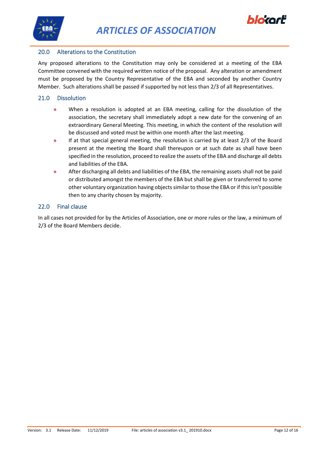



#### <span id="page-11-0"></span>20.0 Alterations to the Constitution

Any proposed alterations to the Constitution may only be considered at a meeting of the EBA Committee convened with the required written notice of the proposal. Any alteration or amendment must be proposed by the Country Representative of the EBA and seconded by another Country Member. Such alterations shall be passed if supported by not less than 2/3 of all Representatives.

#### <span id="page-11-1"></span>21.0 Dissolution

- **»** When a resolution is adopted at an EBA meeting, calling for the dissolution of the association, the secretary shall immediately adopt a new date for the convening of an extraordinary General Meeting. This meeting, in which the content of the resolution will be discussed and voted must be within one month after the last meeting.
- **»** If at that special general meeting, the resolution is carried by at least 2/3 of the Board present at the meeting the Board shall thereupon or at such date as shall have been specified in the resolution, proceed to realize the assets of the EBA and discharge all debts and liabilities of the EBA.
- **»** After discharging all debts and liabilities of the EBA, the remaining assets shall not be paid or distributed amongst the members of the EBA but shall be given or transferred to some other voluntary organization having objects similar to those the EBA or if this isn't possible then to any charity chosen by majority.

#### <span id="page-11-2"></span>22.0 Final clause

In all cases not provided for by the Articles of Association, one or more rules or the law, a minimum of 2/3 of the Board Members decide.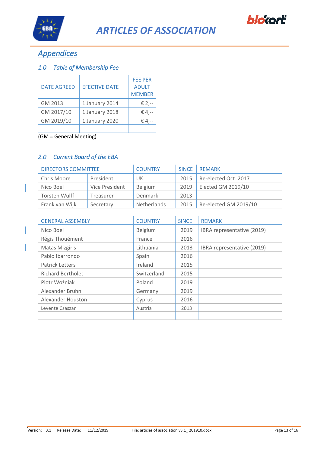



# <span id="page-12-0"></span>*Appendices*

#### <span id="page-12-1"></span>*1.0 Table of Membership Fee*

| <b>DATE AGREED</b> | <b>EFECTIVE DATE</b> | <b>FEE PER</b><br><b>ADULT</b><br><b>MEMBER</b> |
|--------------------|----------------------|-------------------------------------------------|
| GM 2013            | 1 January 2014       | € 2,--                                          |
| GM 2017/10         | 1 January 2018       | € 4,--                                          |
| GM 2019/10         | 1 January 2020       | € 4.--                                          |
|                    |                      |                                                 |

(GM = General Meeting)

#### *2.0 Current Board of the EBA*

<span id="page-12-2"></span>

| <b>DIRECTORS COMMITTEE</b> | <b>COUNTRY</b> | <b>SINCE</b>       | <b>REMARK</b> |                       |
|----------------------------|----------------|--------------------|---------------|-----------------------|
| Chris Moore                | President      | UK                 | 2015          | Re-elected Oct. 2017  |
| Nico Boel                  | Vice President | Belgium            | 2019          | Elected GM 2019/10    |
| Torsten Wulff              | Treasurer      | Denmark            | 2013          |                       |
| Frank van Wijk             | Secretary      | <b>Netherlands</b> | 2015          | Re-elected GM 2019/10 |

| <b>GENERAL ASSEMBLY</b>  | <b>COUNTRY</b> | <b>SINCE</b> | <b>REMARK</b>              |
|--------------------------|----------------|--------------|----------------------------|
| Nico Boel                | Belgium        | 2019         | IBRA representative (2019) |
| Régis Thouément          | France         | 2016         |                            |
| <b>Matas Mizgiris</b>    | Lithuania      | 2013         | IBRA representative (2019) |
| Pablo Ibarrondo          | Spain          | 2016         |                            |
| <b>Patrick Letters</b>   | Ireland        | 2015         |                            |
| <b>Richard Bertholet</b> | Switzerland    | 2015         |                            |
| Piotr Woźniak            | Poland         | 2019         |                            |
| Alexander Bruhn          | Germany        | 2019         |                            |
| Alexander Houston        | Cyprus         | 2016         |                            |
| Levente Csaszar          | Austria        | 2013         |                            |
|                          |                |              |                            |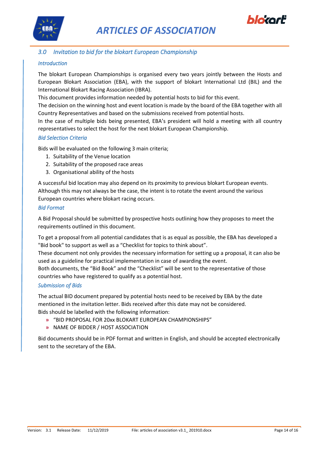



#### *3.0 Invitation to bid for the blokart European Championship*

#### <span id="page-13-0"></span>*Introduction*

The blokart European Championships is organised every two years jointly between the Hosts and European Blokart Association (EBA), with the support of blokart International Ltd (BIL) and the International Blokart Racing Association (IBRA).

This document provides information needed by potential hosts to bid for this event.

The decision on the winning host and event location is made by the board of the EBA together with all Country Representatives and based on the submissions received from potential hosts.

In the case of multiple bids being presented, EBA's president will hold a meeting with all country representatives to select the host for the next blokart European Championship.

#### *Bid Selection Criteria*

Bids will be evaluated on the following 3 main criteria;

- 1. Suitability of the Venue location
- 2. Suitability of the proposed race areas
- 3. Organisational ability of the hosts

A successful bid location may also depend on its proximity to previous blokart European events. Although this may not always be the case, the intent is to rotate the event around the various European countries where blokart racing occurs.

#### *Bid Format*

A Bid Proposal should be submitted by prospective hosts outlining how they proposes to meet the requirements outlined in this document.

To get a proposal from all potential candidates that is as equal as possible, the EBA has developed a "Bid book" to support as well as a "Checklist for topics to think about".

These document not only provides the necessary information for setting up a proposal, it can also be used as a guideline for practical implementation in case of awarding the event.

Both documents, the "Bid Book" and the "Checklist" will be sent to the representative of those countries who have registered to qualify as a potential host.

#### *Submission of Bids*

The actual BID document prepared by potential hosts need to be received by EBA by the date mentioned in the invitation letter. Bids received after this date may not be considered. Bids should be labelled with the following information:

- **»** "BID PROPOSAL FOR 20xx BLOKART EUROPEAN CHAMPIONSHIPS"
- **»** NAME OF BIDDER / HOST ASSOCIATION

Bid documents should be in PDF format and written in English, and should be accepted electronically sent to the secretary of the EBA.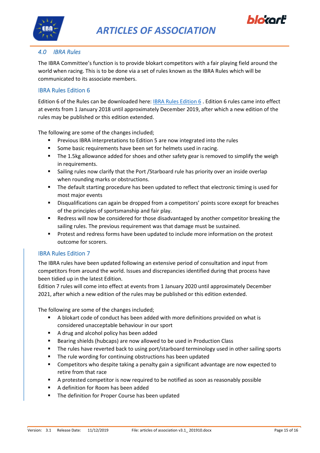



#### <span id="page-14-0"></span>*4.0 IBRA Rules*

The IBRA Committee's function is to provide blokart competitors with a fair playing field around the world when racing. This is to be done via a set of rules known as the IBRA Rules which will be communicated to its associate members.

#### <span id="page-14-1"></span>IBRA Rules Edition 6

Edition 6 of the Rules can be downloaded here: [IBRA Rules Edition 6](http://blokartworlds.com/wp-content/uploads/2017/02/IBRA-Rules-Edition-6-FINAL.pdf) . Edition 6 rules came into effect at events from 1 January 2018 until approximately December 2019, after which a new edition of the rules may be published or this edition extended.

The following are some of the changes included;

- Previous IBRA interpretations to Edition 5 are now integrated into the rules
- Some basic requirements have been set for helmets used in racing.
- The 1.5kg allowance added for shoes and other safety gear is removed to simplify the weigh in requirements.
- **E** Sailing rules now clarify that the Port /Starboard rule has priority over an inside overlap when rounding marks or obstructions.
- The default starting procedure has been updated to reflect that electronic timing is used for most major events
- Disqualifications can again be dropped from a competitors' points score except for breaches of the principles of sportsmanship and fair play.
- Redress will now be considered for those disadvantaged by another competitor breaking the sailing rules. The previous requirement was that damage must be sustained.
- **•** Protest and redress forms have been updated to include more information on the protest outcome for scorers.

#### <span id="page-14-2"></span>IBRA Rules Edition 7

The IBRA rules have been updated following an extensive period of consultation and input from competitors from around the world. Issues and discrepancies identified during that process have been tidied up in the latest Edition.

Edition 7 rules will come into effect at events from 1 January 2020 until approximately December 2021, after which a new edition of the rules may be published or this edition extended.

The following are some of the changes included;

- A blokart code of conduct has been added with more definitions provided on what is considered unacceptable behaviour in our sport
- A drug and alcohol policy has been added
- Bearing shields (hubcaps) are now allowed to be used in Production Class
- The rules have reverted back to using port/starboard terminology used in other sailing sports
- The rule wording for continuing obstructions has been updated
- Competitors who despite taking a penalty gain a significant advantage are now expected to retire from that race
- A protested competitor is now required to be notified as soon as reasonably possible
- A definition for Room has been added
- The definition for Proper Course has been updated